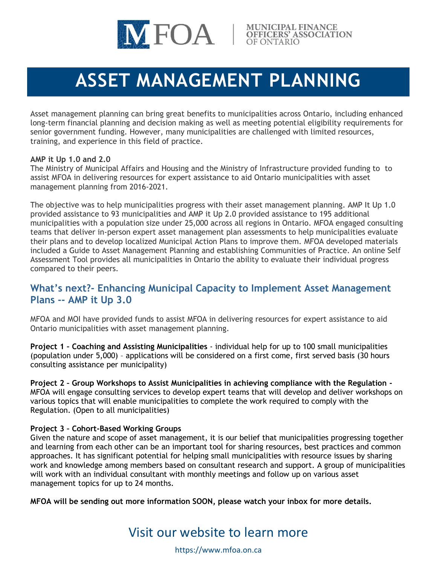

# **ASSET MANAGEMENT PLANNING**

Asset management planning can bring great benefits to municipalities across Ontario, including enhanced long-term financial planning and decision making as well as meeting potential eligibility requirements for senior government funding. However, many municipalities are challenged with limited resources, training, and experience in this field of practice.

#### **AMP it Up 1.0 and 2.0**

The Ministry of Municipal Affairs and Housing and the Ministry of Infrastructure provided funding to to assist MFOA in delivering resources for expert assistance to aid Ontario municipalities with asset management planning from 2016-2021.

The objective was to help municipalities progress with their asset management planning. AMP It Up 1.0 provided assistance to 93 municipalities and AMP it Up 2.0 provided assistance to 195 additional municipalities with a population size under 25,000 across all regions in Ontario. MFOA engaged consulting teams that deliver in-person expert asset management plan assessments to help municipalities evaluate their plans and to develop localized Municipal Action Plans to improve them. MFOA developed materials included a Guide to Asset Management Planning and establishing Communities of Practice. An online Self Assessment Tool provides all municipalities in Ontario the ability to evaluate their individual progress compared to their peers.

## **What's next?- Enhancing Municipal Capacity to Implement Asset Management Plans -- AMP it Up 3.0**

MFOA and MOI have provided funds to assist MFOA in delivering resources for expert assistance to aid Ontario municipalities with asset management planning.

**Project 1 – Coaching and Assisting Municipalities** - individual help for up to 100 small municipalities (population under 5,000) – applications will be considered on a first come, first served basis (30 hours consulting assistance per municipality)

**Project 2 – Group Workshops to Assist Municipalities in achieving compliance with the Regulation -** MFOA will engage consulting services to develop expert teams that will develop and deliver workshops on various topics that will enable municipalities to complete the work required to comply with the Regulation. (Open to all municipalities)

### **Project 3 – Cohort-Based Working Groups**

Given the nature and scope of asset management, it is our belief that municipalities progressing together and learning from each other can be an important tool for sharing resources, best practices and common approaches. It has significant potential for helping small municipalities with resource issues by sharing work and knowledge among members based on consultant research and support. A group of municipalities will work with an individual consultant with monthly meetings and follow up on various asset management topics for up to 24 months.

**MFOA will be sending out more information SOON, please watch your inbox for more details.**

## Visit our website to learn more

https://www.mfoa.on.ca